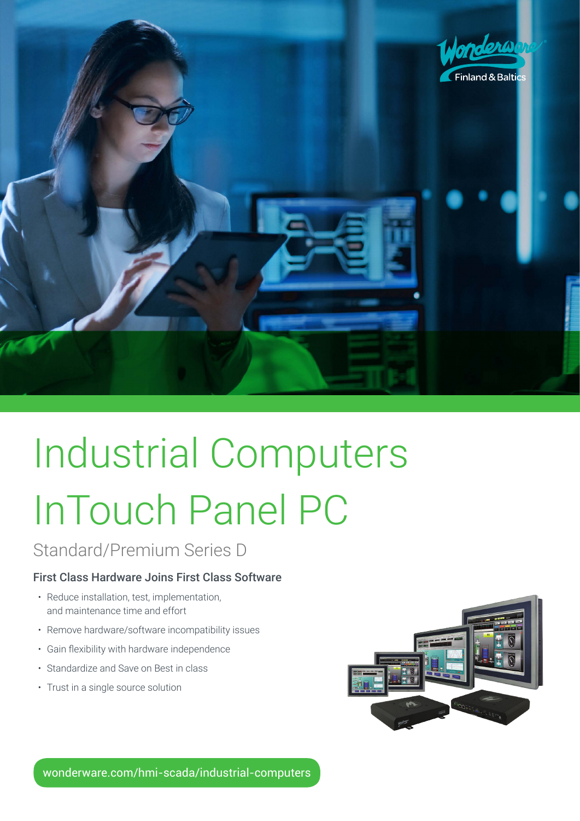

# Industrial Computers InTouch Panel PC

Standard/Premium Series D

#### First Class Hardware Joins First Class Software

- Reduce installation, test, implementation, and maintenance time and effort
- Remove hardware/software incompatibility issues
- • Gain flexibility with hardware independence
- Standardize and Save on Best in class
- Trust in a single source solution



wonderware.com/hmi-scada/industrial-computers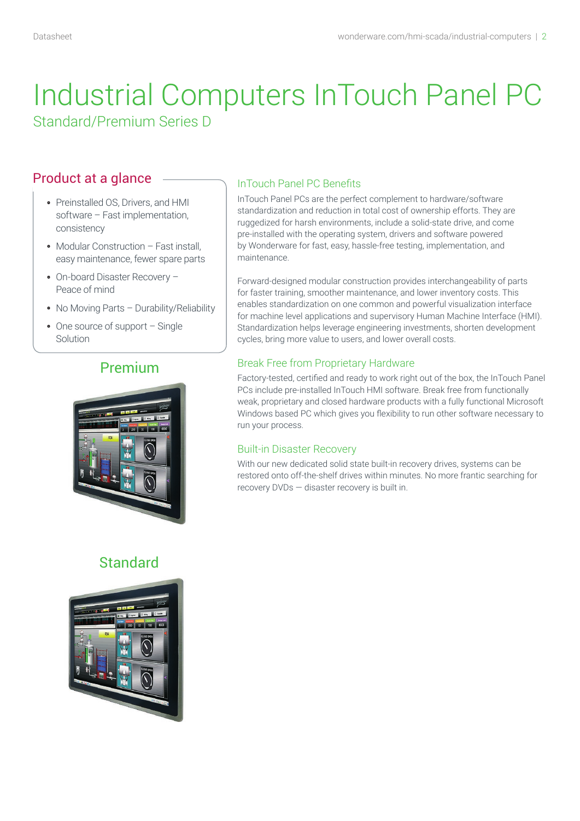## Product at a glance

- Preinstalled OS, Drivers, and HMI software – Fast implementation, consistency
- Modular Construction Fast install, easy maintenance, fewer spare parts
- On-board Disaster Recovery Peace of mind
- No Moving Parts Durability/Reliability
- One source of support Single Solution

## Premium



## **Standard**



#### InTouch Panel PC Benefits

InTouch Panel PCs are the perfect complement to hardware/software standardization and reduction in total cost of ownership efforts. They are ruggedized for harsh environments, include a solid-state drive, and come pre-installed with the operating system, drivers and software powered by Wonderware for fast, easy, hassle-free testing, implementation, and maintenance.

Forward-designed modular construction provides interchangeability of parts for faster training, smoother maintenance, and lower inventory costs. This enables standardization on one common and powerful visualization interface for machine level applications and supervisory Human Machine Interface (HMI). Standardization helps leverage engineering investments, shorten development cycles, bring more value to users, and lower overall costs.

#### Break Free from Proprietary Hardware

Factory-tested, certified and ready to work right out of the box, the InTouch Panel PCs include pre-installed InTouch HMI software. Break free from functionally weak, proprietary and closed hardware products with a fully functional Microsoft Windows based PC which gives you flexibility to run other software necessary to run your process.

#### Built-in Disaster Recovery

With our new dedicated solid state built-in recovery drives, systems can be restored onto off-the-shelf drives within minutes. No more frantic searching for recovery DVDs — disaster recovery is built in.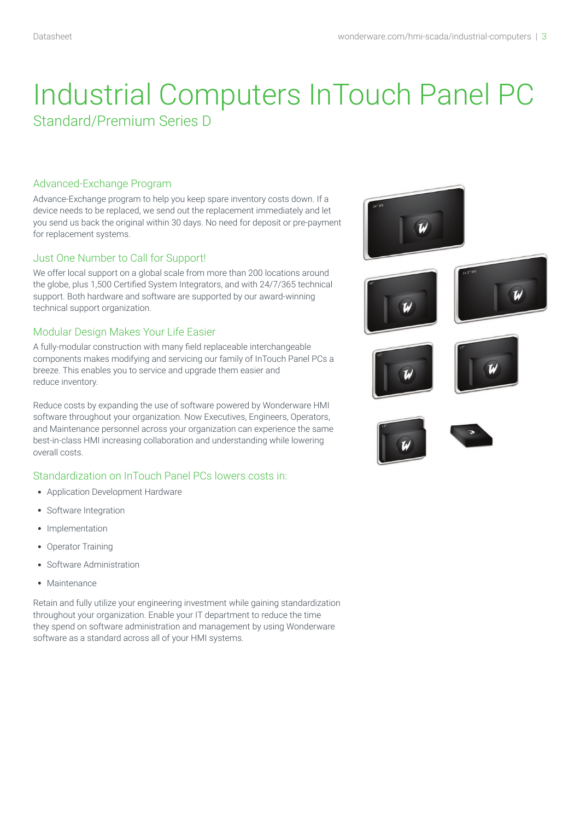#### Advanced-Exchange Program

Advance-Exchange program to help you keep spare inventory costs down. If a device needs to be replaced, we send out the replacement immediately and let you send us back the original within 30 days. No need for deposit or pre-payment for replacement systems.

#### Just One Number to Call for Support!

We offer local support on a global scale from more than 200 locations around the globe, plus 1,500 Certified System Integrators, and with 24/7/365 technical support. Both hardware and software are supported by our award-winning technical support organization.

#### Modular Design Makes Your Life Easier

A fully-modular construction with many field replaceable interchangeable components makes modifying and servicing our family of InTouch Panel PCs a breeze. This enables you to service and upgrade them easier and reduce inventory.

Reduce costs by expanding the use of software powered by Wonderware HMI software throughout your organization. Now Executives, Engineers, Operators, and Maintenance personnel across your organization can experience the same best-in-class HMI increasing collaboration and understanding while lowering overall costs.

#### Standardization on InTouch Panel PCs lowers costs in:

- Application Development Hardware
- Software Integration
- Implementation
- Operator Training
- Software Administration
- · Maintenance

Retain and fully utilize your engineering investment while gaining standardization throughout your organization. Enable your IT department to reduce the time they spend on software administration and management by using Wonderware software as a standard across all of your HMI systems.

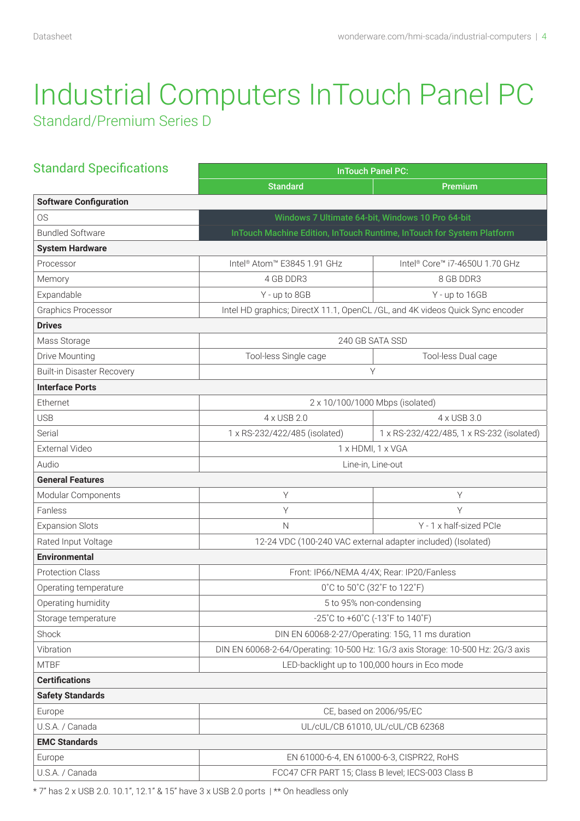| <b>Standard Specifications</b>    | <b>InTouch Panel PC:</b>                                                        |                                                                               |  |  |  |  |
|-----------------------------------|---------------------------------------------------------------------------------|-------------------------------------------------------------------------------|--|--|--|--|
|                                   | <b>Standard</b>                                                                 | Premium                                                                       |  |  |  |  |
| <b>Software Configuration</b>     |                                                                                 |                                                                               |  |  |  |  |
| <b>OS</b>                         | Windows 7 Ultimate 64-bit, Windows 10 Pro 64-bit                                |                                                                               |  |  |  |  |
| <b>Bundled Software</b>           | InTouch Machine Edition, InTouch Runtime, InTouch for System Platform           |                                                                               |  |  |  |  |
| <b>System Hardware</b>            |                                                                                 |                                                                               |  |  |  |  |
| Processor                         | Intel <sup>®</sup> Atom <sup>™</sup> E3845 1.91 GHz                             | Intel <sup>®</sup> Core™ i7-4650U 1.70 GHz                                    |  |  |  |  |
| Memory                            | 4 GB DDR3                                                                       | 8 GB DDR3                                                                     |  |  |  |  |
| Expandable                        | Y - up to 8GB                                                                   | Y - up to 16GB                                                                |  |  |  |  |
| Graphics Processor                |                                                                                 | Intel HD graphics; DirectX 11.1, OpenCL /GL, and 4K videos Quick Sync encoder |  |  |  |  |
| <b>Drives</b>                     |                                                                                 |                                                                               |  |  |  |  |
| Mass Storage                      |                                                                                 | 240 GB SATA SSD                                                               |  |  |  |  |
| Drive Mounting                    | Tool-less Single cage                                                           | Tool-less Dual cage                                                           |  |  |  |  |
| <b>Built-in Disaster Recovery</b> |                                                                                 | Υ                                                                             |  |  |  |  |
| <b>Interface Ports</b>            |                                                                                 |                                                                               |  |  |  |  |
| Ethernet                          |                                                                                 | 2 x 10/100/1000 Mbps (isolated)                                               |  |  |  |  |
| <b>USB</b>                        | 4 x USB 2.0                                                                     | 4 x USB 3.0                                                                   |  |  |  |  |
| Serial                            | 1 x RS-232/422/485 (isolated)                                                   | 1 x RS-232/422/485, 1 x RS-232 (isolated)                                     |  |  |  |  |
| External Video                    | 1 x HDMI, 1 x VGA                                                               |                                                                               |  |  |  |  |
| Audio                             | Line-in, Line-out                                                               |                                                                               |  |  |  |  |
| <b>General Features</b>           |                                                                                 |                                                                               |  |  |  |  |
| Modular Components                | Υ                                                                               | Υ                                                                             |  |  |  |  |
| Fanless                           | Υ                                                                               | Υ                                                                             |  |  |  |  |
| <b>Expansion Slots</b>            | $\mathsf{N}$                                                                    | Y - 1 x half-sized PCIe                                                       |  |  |  |  |
| Rated Input Voltage               |                                                                                 | 12-24 VDC (100-240 VAC external adapter included) (Isolated)                  |  |  |  |  |
| <b>Environmental</b>              |                                                                                 |                                                                               |  |  |  |  |
| <b>Protection Class</b>           | Front: IP66/NEMA 4/4X; Rear: IP20/Fanless                                       |                                                                               |  |  |  |  |
| Operating temperature             | 0°C to 50°C (32°F to 122°F)                                                     |                                                                               |  |  |  |  |
| Operating humidity                | 5 to 95% non-condensing                                                         |                                                                               |  |  |  |  |
| Storage temperature               | -25°C to +60°C (-13°F to 140°F)                                                 |                                                                               |  |  |  |  |
| Shock                             | DIN EN 60068-2-27/Operating: 15G, 11 ms duration                                |                                                                               |  |  |  |  |
| Vibration                         | DIN EN 60068-2-64/Operating: 10-500 Hz: 1G/3 axis Storage: 10-500 Hz: 2G/3 axis |                                                                               |  |  |  |  |
| <b>MTBF</b>                       | LED-backlight up to 100,000 hours in Eco mode                                   |                                                                               |  |  |  |  |
| <b>Certifications</b>             |                                                                                 |                                                                               |  |  |  |  |
| <b>Safety Standards</b>           |                                                                                 |                                                                               |  |  |  |  |
| Europe                            | CE, based on 2006/95/EC                                                         |                                                                               |  |  |  |  |
| U.S.A. / Canada                   | UL/cUL/CB 61010, UL/cUL/CB 62368                                                |                                                                               |  |  |  |  |
| <b>EMC Standards</b>              |                                                                                 |                                                                               |  |  |  |  |
| Europe                            |                                                                                 | EN 61000-6-4, EN 61000-6-3, CISPR22, RoHS                                     |  |  |  |  |
| U.S.A. / Canada                   | FCC47 CFR PART 15; Class B level; IECS-003 Class B                              |                                                                               |  |  |  |  |

\* 7" has 2 x USB 2.0. 10.1", 12.1" & 15" have 3 x USB 2.0 ports | \*\* On headless only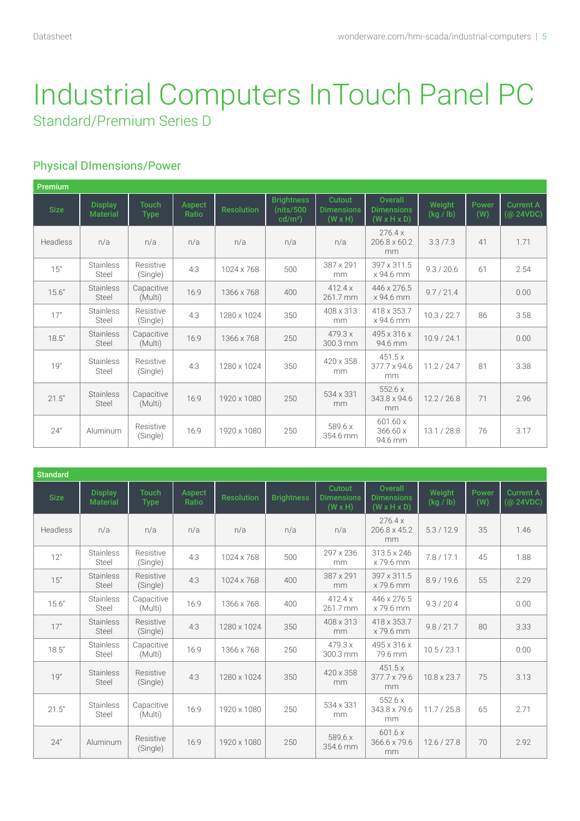### Physical DImensions/Power

| Premium     |                                   |                             |                 |                   |                                              |                                               |                                                         |                     |              |                                                                         |
|-------------|-----------------------------------|-----------------------------|-----------------|-------------------|----------------------------------------------|-----------------------------------------------|---------------------------------------------------------|---------------------|--------------|-------------------------------------------------------------------------|
| <b>Size</b> | <b>Display</b><br><b>Material</b> | <b>Touch</b><br><b>Type</b> | Aspect<br>Ratio | <b>Resolution</b> | <b>Brightness</b><br>(nits/500)<br>$cd/m2$ ) | Cutout<br><b>Dimensions</b><br>$(W \times H)$ | Overall<br><b>Dimensions</b><br>$(W \times H \times D)$ | Weight<br>(kg / lb) | Power<br>(W) | <b>Current A</b><br>$(Q$ <sub>24</sub> V <sub>D</sub> C <sub></sub> $)$ |
| Headless    | n/a                               | n/a                         | n/a             | n/a               | n/a                                          | n/a                                           | 276.4x<br>206.8 x 60.2<br>mm                            | 3.3/7.3             | 41           | 1.71                                                                    |
| 15"         | <b>Stainless</b><br>Steel         | Resistive<br>(Single)       | 4:3             | 1024 x 768        | 500                                          | 387 x 291<br>mm                               | 397 x 311.5<br>x 94.6 mm                                | 9.3 / 20.6          | 61           | 2.54                                                                    |
| 15.6''      | <b>Stainless</b><br>Steel         | Capacitive<br>(Multi)       | 16:9            | 1366 x 768        | 400                                          | 412.4x<br>261.7 mm                            | 446 x 276.5<br>x 94.6 mm                                | 9.7 / 21.4          |              | 0.00                                                                    |
| 17"         | <b>Stainless</b><br>Steel         | Resistive<br>(Single)       | 4:3             | 1280 x 1024       | 350                                          | 408 x 313<br>mm                               | 418 x 353.7<br>x 94.6 mm                                | 10.3 / 22.7         | 86           | 3.58                                                                    |
| 18.5''      | <b>Stainless</b><br>Steel         | Capacitive<br>(Multi)       | 16:9            | 1366 x 768        | 250                                          | 479.3 x<br>300.3 mm                           | 495 x 316 x<br>94.6 mm                                  | 10.9 / 24.1         |              | 0.00                                                                    |
| 19"         | <b>Stainless</b><br>Steel         | Resistive<br>(Single)       | 4:3             | 1280 x 1024       | 350                                          | 420 x 358<br>mm                               | 451.5x<br>377.7 x 94.6<br>mm                            | 11.2 / 24.7         | 81           | 3.38                                                                    |
| 21.5"       | <b>Stainless</b><br>Steel         | Capacitive<br>(Multi)       | 16:9            | 1920 x 1080       | 250                                          | 534 x 331<br>mm                               | 552.6x<br>343.8 x 94.6<br>mm                            | 12.2 / 26.8         | 71           | 2.96                                                                    |
| 24"         | Aluminum                          | Resistive<br>(Single)       | 16:9            | 1920 x 1080       | 250                                          | 589.6 x<br>354.6 mm                           | 601.60 x<br>366.60 x<br>94.6 mm                         | 13.1 / 28.8         | 76           | 3.17                                                                    |

| <b>Standard</b> |                                   |                             |                 |                   |                   |                                               |                                                                |                     |              |                               |
|-----------------|-----------------------------------|-----------------------------|-----------------|-------------------|-------------------|-----------------------------------------------|----------------------------------------------------------------|---------------------|--------------|-------------------------------|
| <b>Size</b>     | <b>Display</b><br><b>Material</b> | <b>Touch</b><br><b>Type</b> | Aspect<br>Ratio | <b>Resolution</b> | <b>Brightness</b> | Cutout<br><b>Dimensions</b><br>$(W \times H)$ | <b>Overall</b><br><b>Dimensions</b><br>$(W \times H \times D)$ | Weight<br>(kg / lb) | Power<br>(W) | <b>Current A</b><br>(@ 24VDC) |
| Headless        | n/a                               | n/a                         | n/a             | n/a               | n/a               | n/a                                           | 276.4x<br>206.8 x 45.2<br>mm                                   | 5.3/12.9            | 35           | 1.46                          |
| 12"             | <b>Stainless</b><br>Steel         | Resistive<br>(Single)       | 4:3             | 1024 x 768        | 500               | 297 x 236<br>mm                               | 313.5 x 246<br>x 79.6 mm                                       | 7.8/17.1            | 45           | 1.88                          |
| 15"             | <b>Stainless</b><br>Steel         | Resistive<br>(Single)       | 4:3             | 1024 x 768        | 400               | 387 x 291<br>mm                               | 397 x 311.5<br>x 79.6 mm                                       | 8.9 / 19.6          | 55           | 2.29                          |
| 15.6''          | <b>Stainless</b><br>Steel         | Capacitive<br>(Multi)       | 16:9            | 1366 x 768        | 400               | 412.4x<br>261.7 mm                            | 446 x 276.5<br>x 79.6 mm                                       | 9.3 / 20.4          |              | 0.00                          |
| 17"             | <b>Stainless</b><br>Steel         | Resistive<br>(Single)       | 4:3             | 1280 x 1024       | 350               | 408 x 313<br>mm                               | 418 x 353.7<br>x 79.6 mm                                       | 9.8 / 21.7          | 80           | 3.33                          |
| 18.5''          | <b>Stainless</b><br>Steel         | Capacitive<br>(Multi)       | 16:9            | 1366 x 768        | 250               | 479.3 x<br>300.3 mm                           | 495 x 316 x<br>79.6 mm                                         | 10.5 / 23.1         |              | 0.00                          |
| 19"             | <b>Stainless</b><br>Steel         | Resistive<br>(Single)       | 4:3             | 1280 x 1024       | 350               | 420 x 358<br>mm                               | 451.5x<br>$377.7 \times 79.6$<br>mm                            | 10.8 x 23.7         | 75           | 3.13                          |
| 21.5"           | <b>Stainless</b><br>Steel         | Capacitive<br>(Multi)       | 16:9            | 1920 x 1080       | 250               | 534 x 331<br>mm                               | 552.6x<br>343.8 x 79.6<br>mm                                   | 11.7 / 25.8         | 65           | 2.71                          |
| 24"             | Aluminum                          | Resistive<br>(Single)       | 16:9            | 1920 x 1080       | 250               | 589.6 x<br>354.6 mm                           | 601.6x<br>366.6 x 79.6<br>mm                                   | 12.6 / 27.8         | 70           | 2.92                          |